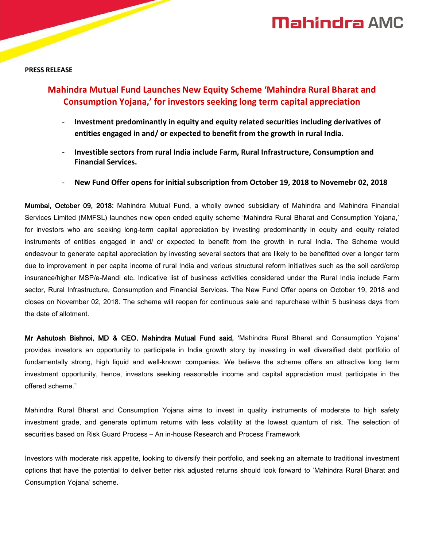# **Mahindra AMC**

#### **PRESS RELEASE**

## **Mahindra Mutual Fund Launches New Equity Scheme 'Mahindra Rural Bharat and Consumption Yojana,' for investors seeking long term capital appreciation**

- **Investment predominantly in equity and equity related securities including derivatives of entities engaged in and/ or expected to benefit from the growth in rural India.**
- **Investible sectors from rural India include Farm, Rural Infrastructure, Consumption and Financial Services.**
- **New Fund Offer opens for initial subscription from October 19, 2018 to Novemebr 02, 2018**

Mumbai, October 09, 2018: Mahindra Mutual Fund, a wholly owned subsidiary of Mahindra and Mahindra Financial Services Limited (MMFSL) launches new open ended equity scheme 'Mahindra Rural Bharat and Consumption Yojana,' for investors who are seeking long-term capital appreciation by investing predominantly in equity and equity related instruments of entities engaged in and/ or expected to benefit from the growth in rural India. The Scheme would endeavour to generate capital appreciation by investing several sectors that are likely to be benefitted over a longer term due to improvement in per capita income of rural India and various structural reform initiatives such as the soil card/crop insurance/higher MSP/e-Mandi etc. Indicative list of business activities considered under the Rural India include Farm sector, Rural Infrastructure, Consumption and Financial Services. The New Fund Offer opens on October 19, 2018 and closes on November 02, 2018. The scheme will reopen for continuous sale and repurchase within 5 business days from the date of allotment.

Mr Ashutosh Bishnoi, MD & CEO, Mahindra Mutual Fund said, 'Mahindra Rural Bharat and Consumption Yojana' provides investors an opportunity to participate in India growth story by investing in well diversified debt portfolio of fundamentally strong, high liquid and well-known companies. We believe the scheme offers an attractive long term investment opportunity, hence, investors seeking reasonable income and capital appreciation must participate in the offered scheme."

Mahindra Rural Bharat and Consumption Yojana aims to invest in quality instruments of moderate to high safety investment grade, and generate optimum returns with less volatility at the lowest quantum of risk. The selection of securities based on Risk Guard Process – An in-house Research and Process Framework

Investors with moderate risk appetite, looking to diversify their portfolio, and seeking an alternate to traditional investment options that have the potential to deliver better risk adjusted returns should look forward to 'Mahindra Rural Bharat and Consumption Yojana' scheme.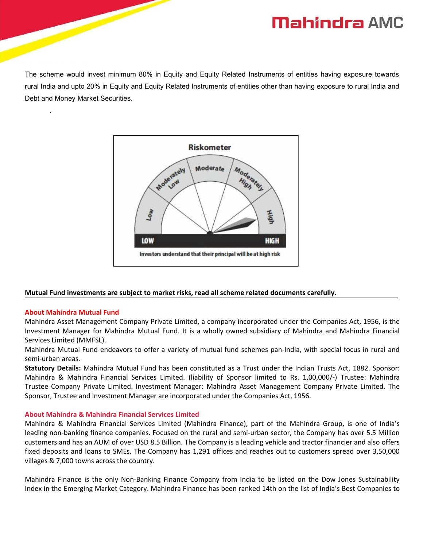# **Mahindra AMC**

The scheme would invest minimum 80% in Equity and Equity Related Instruments of entities having exposure towards rural India and upto 20% in Equity and Equity Related Instruments of entities other than having exposure to rural India and Debt and Money Market Securities.



### **Mutual Fund investments are subject to market risks, read all scheme related documents carefully.**

### **About Mahindra Mutual Fund**

.

Mahindra Asset Management Company Private Limited, a company incorporated under the Companies Act, 1956, is the Investment Manager for Mahindra Mutual Fund. It is a wholly owned subsidiary of Mahindra and Mahindra Financial Services Limited (MMFSL).

Mahindra Mutual Fund endeavors to offer a variety of mutual fund schemes pan-India, with special focus in rural and semi-urban areas.

**Statutory Details:** Mahindra Mutual Fund has been constituted as a Trust under the Indian Trusts Act, 1882. Sponsor: Mahindra & Mahindra Financial Services Limited. (liability of Sponsor limited to Rs. 1,00,000/-) Trustee: Mahindra Trustee Company Private Limited. Investment Manager: Mahindra Asset Management Company Private Limited. The Sponsor, Trustee and Investment Manager are incorporated under the Companies Act, 1956.

### **About Mahindra & Mahindra Financial Services Limited**

Mahindra & Mahindra Financial Services Limited (Mahindra Finance), part of the Mahindra Group, is one of India's leading non-banking finance companies. Focused on the rural and semi-urban sector, the Company has over 5.5 Million customers and has an AUM of over USD 8.5Billion. The Company is a leading vehicle and tractor financier and also offers fixed deposits and loans to SMEs. The Company has 1,291 offices and reaches out to customers spread over 3,50,000 villages & 7,000 towns across the country.

Mahindra Finance is the only Non-Banking Finance Company from India to be listed on the Dow Jones Sustainability Index in the Emerging Market Category. Mahindra Finance has been ranked 14th on the list of India's Best Companies to